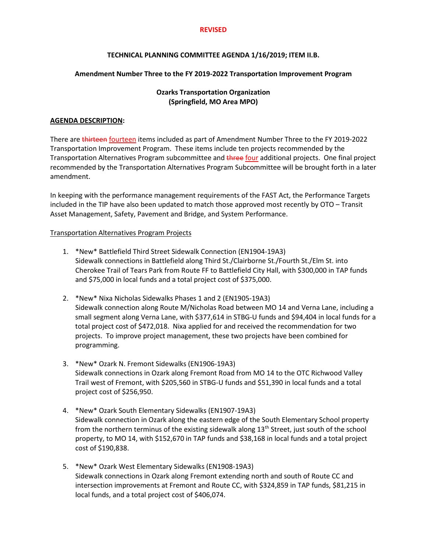## **REVISED**

# **TECHNICAL PLANNING COMMITTEE AGENDA 1/16/2019; ITEM II.B.**

# **Amendment Number Three to the FY 2019-2022 Transportation Improvement Program**

# **Ozarks Transportation Organization (Springfield, MO Area MPO)**

## **AGENDA DESCRIPTION:**

There are thirteen fourteen items included as part of Amendment Number Three to the FY 2019-2022 Transportation Improvement Program. These items include ten projects recommended by the Transportation Alternatives Program subcommittee and three four additional projects. One final project recommended by the Transportation Alternatives Program Subcommittee will be brought forth in a later amendment.

In keeping with the performance management requirements of the FAST Act, the Performance Targets included in the TIP have also been updated to match those approved most recently by OTO – Transit Asset Management, Safety, Pavement and Bridge, and System Performance.

## Transportation Alternatives Program Projects

- 1. \*New\* Battlefield Third Street Sidewalk Connection (EN1904-19A3) Sidewalk connections in Battlefield along Third St./Clairborne St./Fourth St./Elm St. into Cherokee Trail of Tears Park from Route FF to Battlefield City Hall, with \$300,000 in TAP funds and \$75,000 in local funds and a total project cost of \$375,000.
- 2. \*New\* Nixa Nicholas Sidewalks Phases 1 and 2 (EN1905-19A3) Sidewalk connection along Route M/Nicholas Road between MO 14 and Verna Lane, including a small segment along Verna Lane, with \$377,614 in STBG-U funds and \$94,404 in local funds for a total project cost of \$472,018. Nixa applied for and received the recommendation for two projects. To improve project management, these two projects have been combined for programming.
- 3. \*New\* Ozark N. Fremont Sidewalks (EN1906-19A3) Sidewalk connections in Ozark along Fremont Road from MO 14 to the OTC Richwood Valley Trail west of Fremont, with \$205,560 in STBG-U funds and \$51,390 in local funds and a total project cost of \$256,950.
- 4. \*New\* Ozark South Elementary Sidewalks (EN1907-19A3) Sidewalk connection in Ozark along the eastern edge of the South Elementary School property from the northern terminus of the existing sidewalk along 13<sup>th</sup> Street, just south of the school property, to MO 14, with \$152,670 in TAP funds and \$38,168 in local funds and a total project cost of \$190,838.
- 5. \*New\* Ozark West Elementary Sidewalks (EN1908-19A3) Sidewalk connections in Ozark along Fremont extending north and south of Route CC and intersection improvements at Fremont and Route CC, with \$324,859 in TAP funds, \$81,215 in local funds, and a total project cost of \$406,074.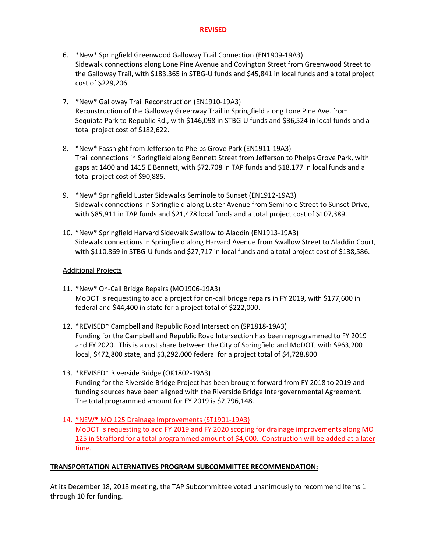- 6. \*New\* Springfield Greenwood Galloway Trail Connection (EN1909-19A3) Sidewalk connections along Lone Pine Avenue and Covington Street from Greenwood Street to the Galloway Trail, with \$183,365 in STBG-U funds and \$45,841 in local funds and a total project cost of \$229,206.
- 7. \*New\* Galloway Trail Reconstruction (EN1910-19A3) Reconstruction of the Galloway Greenway Trail in Springfield along Lone Pine Ave. from Sequiota Park to Republic Rd., with \$146,098 in STBG-U funds and \$36,524 in local funds and a total project cost of \$182,622.
- 8. \*New\* Fassnight from Jefferson to Phelps Grove Park (EN1911-19A3) Trail connections in Springfield along Bennett Street from Jefferson to Phelps Grove Park, with gaps at 1400 and 1415 E Bennett, with \$72,708 in TAP funds and \$18,177 in local funds and a total project cost of \$90,885.
- 9. \*New\* Springfield Luster Sidewalks Seminole to Sunset (EN1912-19A3) Sidewalk connections in Springfield along Luster Avenue from Seminole Street to Sunset Drive, with \$85,911 in TAP funds and \$21,478 local funds and a total project cost of \$107,389.
- 10. \*New\* Springfield Harvard Sidewalk Swallow to Aladdin (EN1913-19A3) Sidewalk connections in Springfield along Harvard Avenue from Swallow Street to Aladdin Court, with \$110,869 in STBG-U funds and \$27,717 in local funds and a total project cost of \$138,586.

# Additional Projects

- 11. \*New\* On-Call Bridge Repairs (MO1906-19A3) MoDOT is requesting to add a project for on-call bridge repairs in FY 2019, with \$177,600 in federal and \$44,400 in state for a project total of \$222,000.
- 12. \*REVISED\* Campbell and Republic Road Intersection (SP1818-19A3) Funding for the Campbell and Republic Road Intersection has been reprogrammed to FY 2019 and FY 2020. This is a cost share between the City of Springfield and MoDOT, with \$963,200 local, \$472,800 state, and \$3,292,000 federal for a project total of \$4,728,800
- 13. \*REVISED\* Riverside Bridge (OK1802-19A3) Funding for the Riverside Bridge Project has been brought forward from FY 2018 to 2019 and funding sources have been aligned with the Riverside Bridge Intergovernmental Agreement. The total programmed amount for FY 2019 is \$2,796,148.
- 14. \*NEW\* MO 125 Drainage Improvements (ST1901-19A3) MoDOT is requesting to add FY 2019 and FY 2020 scoping for drainage improvements along MO 125 in Strafford for a total programmed amount of \$4,000. Construction will be added at a later time.

# **TRANSPORTATION ALTERNATIVES PROGRAM SUBCOMMITTEE RECOMMENDATION:**

At its December 18, 2018 meeting, the TAP Subcommittee voted unanimously to recommend Items 1 through 10 for funding.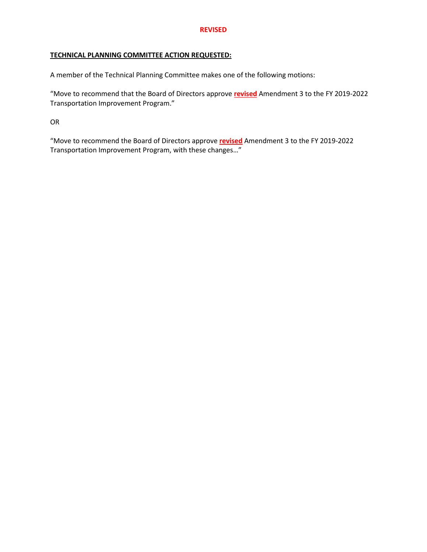## **REVISED**

# **TECHNICAL PLANNING COMMITTEE ACTION REQUESTED:**

A member of the Technical Planning Committee makes one of the following motions:

"Move to recommend that the Board of Directors approve **revised** Amendment 3 to the FY 2019-2022 Transportation Improvement Program."

OR

"Move to recommend the Board of Directors approve **revised** Amendment 3 to the FY 2019-2022 Transportation Improvement Program, with these changes…"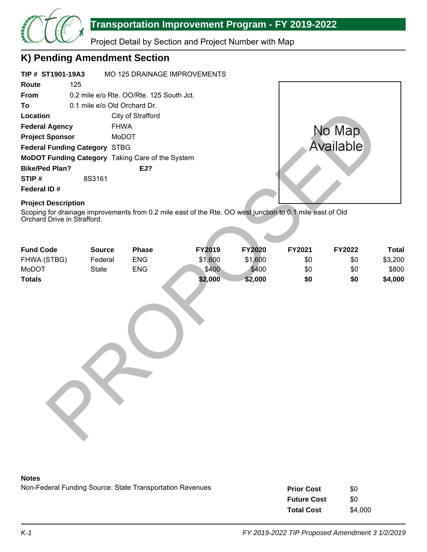

# **Transportation Improvement Program - FY 2019-2022**

Project Detail by Section and Project Number with Map

# **K) Pending Amendment Section**

| TIP # ST1901-19A3                                                                                                                                                      |                              |                                          | MO 125 DRAINAGE IMPROVEMENTS |               |        |               |         |
|------------------------------------------------------------------------------------------------------------------------------------------------------------------------|------------------------------|------------------------------------------|------------------------------|---------------|--------|---------------|---------|
| 125<br>Route                                                                                                                                                           |                              |                                          |                              |               |        |               |         |
| From                                                                                                                                                                   |                              | 0.2 mile e/o Rte. OO/Rte. 125 South Jct. |                              |               |        |               |         |
| To                                                                                                                                                                     | 0.1 mile e/o Old Orchard Dr. |                                          |                              |               |        |               |         |
| Location                                                                                                                                                               |                              | City of Strafford                        |                              |               |        |               |         |
| <b>Federal Agency</b>                                                                                                                                                  | <b>FHWA</b>                  |                                          |                              |               |        | No Map        |         |
| <b>Project Sponsor</b>                                                                                                                                                 | MoDOT                        |                                          |                              |               |        |               |         |
| <b>Federal Funding Category STBG</b>                                                                                                                                   |                              |                                          |                              |               |        | Available     |         |
| MoDOT Funding Category Taking Care of the System                                                                                                                       |                              |                                          |                              |               |        |               |         |
| <b>Bike/Ped Plan?</b>                                                                                                                                                  |                              | EJ?                                      |                              |               |        |               |         |
| STIP#                                                                                                                                                                  | 8S3161                       |                                          |                              |               |        |               |         |
| Federal ID#                                                                                                                                                            |                              |                                          |                              |               |        |               |         |
| <b>Project Description</b><br>Scoping for drainage improvements from 0.2 mile east of the Rte. OO west junction to 0.1 mile east of Old<br>Orchard Drive in Strafford. |                              |                                          |                              |               |        |               |         |
| <b>Fund Code</b>                                                                                                                                                       | <b>Source</b>                | <b>Phase</b>                             | FY2019                       | <b>FY2020</b> | FY2021 | <b>FY2022</b> | Tota    |
| FHWA (STBG)                                                                                                                                                            | Federal                      | <b>ENG</b>                               | \$1,600                      | \$1,600       | \$0    | \$0           | \$3,200 |
| MoDOT                                                                                                                                                                  | <b>State</b>                 | <b>ENG</b>                               | \$400                        | \$400         | \$0    | \$0           | \$800   |
| <b>Totals</b>                                                                                                                                                          |                              |                                          | \$2,000                      | \$2,000       | \$0    | \$0           | \$4,000 |

| <b>Fund Code</b> | <b>Source</b> | <b>Phase</b> | FY2019  | <b>FY2020</b> | FY2021 | <b>FY2022</b> | <b>Total</b> |
|------------------|---------------|--------------|---------|---------------|--------|---------------|--------------|
| FHWA (STBG)      | Federal       | <b>ENG</b>   | \$1,600 | \$1,600       | \$0    | \$0           | \$3,200      |
| MoDOT            | State         | <b>ENG</b>   | \$400   | \$400         | \$0    | \$0           | \$800        |
| <b>Totals</b>    |               |              | \$2,000 | \$2,000       | \$0    | \$0           | \$4,000      |
|                  |               |              |         |               |        |               |              |

## **Notes**

Non-Federal Funding Source: State Transportation Revenues \$0

| <b>Prior Cost</b>  | \$0     |
|--------------------|---------|
| <b>Future Cost</b> | \$0     |
| <b>Total Cost</b>  | \$4,000 |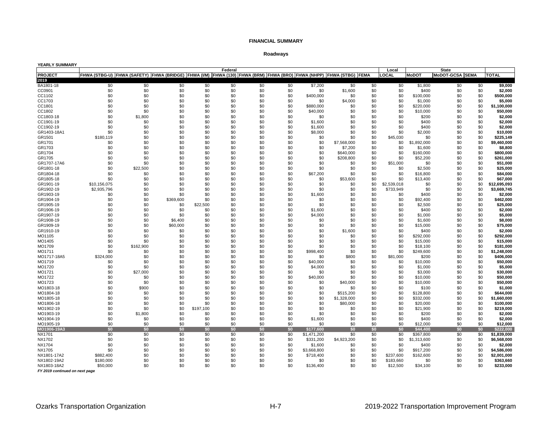#### **Roadways**

#### **YEARLY SUMMARY Local** PROJECT FHWA (STBG-U) |FHWA (SAFETY) |FHWA (BRIDGE) |FHWA (I/M) |FHWA (130) |FHWA (BRM) |FHWA (BRO) |FHWA (NHPP) |FHWA (STBG) |FEMA |LOCAL |MoDOT |MoDOT-GCSA |SEMA |TOTAL BA1801-18 \$0 \$0 \$0 \$0 \$0 \$0 \$0 \$7,200 \$0 \$0 \$0 \$1,800 \$0 \$0 **\$9,000** CC0901 \$0 \$0 \$0 \$0 \$0 \$0 \$0 \$0 \$1,600 \$0 \$0 \$400 \$0 \$0 **\$2,000** CC1102 \$0 \$0 \$0 \$0 \$0 \$0 \$0 \$400,000 \$0 \$0 \$0 \$100,000 \$0 \$0 **\$500,000** CC1703 \$0 \$0 \$0 \$0 \$0 \$0 \$0 \$0 \$4,000 \$0 \$0 \$1,000 \$0 \$0 **\$5,000** CC1801 \$0 \$0 \$0 \$0 \$0 \$0 \$0 \$880,000 \$0 \$0 \$0 \$220,000 \$0 \$0 **\$1,100,000** CC1802 \$0 \$0 \$0 \$0 \$0 \$0 \$0 \$40,000 \$0 \$0 \$0 \$10,000 \$0 \$0 **\$50,000** CC1803-18 \$0 \$1,800 \$0 \$0 \$0 \$0 \$0 \$0 \$0 \$0 \$0 \$200 \$0 \$0 **\$2,000** CC1901-19 \$0 \$0 \$0 \$0 \$0 \$0 \$0 \$1,600 \$0 \$0 \$0 \$400 \$0 \$0 **\$2,000** CC1902-19 \$0 \$0 \$0 \$0 \$0 \$0 \$0 \$1,600 \$0 \$0 \$0 \$400 \$0 \$0 **\$2,000** GR1403-18A1 \$0 \$0 \$0 \$0 \$0 \$0 \$0 \$8,000 \$0 \$0 \$0 \$2,000 \$0 \$0 **\$10,000** GR1501 \$180,119 \$0 \$0 \$0 \$0 \$0 \$0 \$0 \$0 \$0 \$45,030 \$0 \$0 \$0 **\$225,149** GR1701 \$0 \$0 \$0 \$0 \$0 \$0 \$0 \$0 \$7,568,000 \$0 \$0 \$1,892,000 \$0 \$0 **\$9,460,000** GR1703 \$0 \$0 \$0 \$0 \$0 \$0 \$0 \$0 \$7,200 \$0 \$0 \$1,600 \$0 \$0 **\$8,800** GR1704 \$0 \$0 \$0 \$0 \$0 \$0 \$0 \$0 \$640,000 \$0 \$0 \$160,000 \$0 \$0 **\$800,000** GR1705 \$0 \$0 \$0 \$0 \$0 \$0 \$0 \$0 \$208,800 \$0 \$0 \$52,200 \$0 \$0 **\$261,000** GR1707-17A6 \$0 \$0 \$0 \$0 \$0 \$0 \$0 \$0 \$0 \$0 \$51,000 \$0 \$0 \$0 **\$51,000** GR1801-18 \$0 \$22,500 \$0 \$0 \$0 \$0 \$0 \$0 \$0 \$0 \$0 \$2,500 \$0 \$0 **\$25,000** GR1804-18 \$0 \$0 \$0 \$0 \$0 \$0 \$0 \$67,200 \$0 \$0 \$0 \$16,800 \$0 \$0 **\$84,000** GR1805-18 \$0 \$0 \$0 \$0 \$0 \$0 \$0 \$0 \$53,600 \$0 \$0 \$13,400 \$0 \$0 **\$67,000** GR1901-19 \$10,156,075 \$0 \$0 \$0 \$0 \$0 \$0 \$0 \$0 \$0 \$2,539,018 \$0 \$0 \$0 **\$12,695,093** GR1902-19 \$2,935,796 \$0 \$0 \$0 \$0 \$0 \$0 \$0 \$0 \$0 \$733,949 \$0 \$0 \$0 **\$3,669,745** GR1903-19 \$0 \$0 \$0 \$0 \$0 \$0 \$0 \$1,600 \$0 \$0 \$0 \$400 \$0 \$0 **\$2,000** GR1904-19 \$0 \$0 \$369,600 \$0 \$0 \$0 \$0 \$0 \$0 \$0 \$0 \$92,400 \$0 \$0 **\$462,000** GR1905-19 \$0 \$0 \$0 \$22,500 \$0 \$0 \$0 \$0 \$0 \$0 \$0 \$2,500 \$0 \$0 **\$25,000** GR1906-19 \$0 \$0 \$0 \$0 \$0 \$0 \$0 \$1,600 \$0 \$0 \$0 \$400 \$0 \$0 **\$2,000** GR1907-19 \$0 \$0 \$0 \$0 \$0 \$0 \$0 \$4,000 \$0 \$0 \$0 \$1,000 \$0 \$0 **\$5,000** GR1908-19 \$0 \$0 \$6,400 \$0 \$0 \$0 \$0 \$0 \$0 \$0 \$0 \$1,600 \$0 \$0 **\$8,000** GR1909-19 \$0 \$0 \$60,000 \$0 \$0 \$0 \$0 \$0 \$0 \$0 \$0 \$15,000 \$0 \$0 **\$75,000** GR1910-19 \$0 \$0 \$0 \$0 \$0 \$0 \$0 \$0 \$1,600 \$0 \$0 \$400 \$0 \$0 **\$2,000** MO1105 \$0 \$0 \$0 \$0 \$0 \$0 \$0 \$0 \$0 \$0 \$0 \$292,000 \$0 \$0 **\$292,000** MO1405 \$0 \$0 \$0 \$0 \$0 \$0 \$0 \$0 \$0 \$0 \$0 \$15,000 \$0 \$0 **\$15,000** MO1709 \$0 \$162,900 \$0 \$0 \$0 \$0 \$0 \$0 \$0 \$0 \$0 \$18,100 \$0 \$0 **\$181,000** MO1711 \$0 \$0 \$0 \$0 \$0 \$0 \$0 \$998,400 \$0 \$0 \$0 \$249,600 \$0 \$0 **\$1,248,000** MO1717-18A5 \$324,000 \$0 \$0 \$0 \$0 \$0 \$0 \$0 \$800 \$0 \$81,000 \$200 \$0 \$0 **\$406,000** MO1719 \$0 \$0 \$0 \$0 \$0 \$0 \$0 \$40,000 \$0 \$0 \$0 \$10,000 \$0 \$0 **\$50,000** MO1720 \$0 \$0 \$0 \$0 \$0 \$0 \$0 \$4,000 \$0 \$0 \$0 \$1,000 \$0 \$0 **\$5,000** MO1721 \$0 \$27,000 \$0 \$0 \$0 \$0 \$0 \$0 \$0 \$0 \$0 \$3,000 \$0 \$0 **\$30,000** MO1722 \$0 \$0 \$0 \$0 \$0 \$0 \$0 \$40,000 \$0 \$0 \$0 \$10,000 \$0 \$0 **\$50,000** MO1723 \$0 \$0 \$0 \$0 \$0 \$0 \$0 \$0 \$40,000 \$0 \$0 \$10,000 \$0 \$0 **\$50,000** MO1803-18 \$0 \$900 \$0 \$0 \$0 \$0 \$0 \$0 \$0 \$0 \$0 \$100 \$0 \$0 **\$1,000** MO1804-18 \$0 \$0 \$0 \$0 \$0 \$0 \$0 \$0 \$515,200 \$0 \$0 \$128,800 \$0 \$0 **\$644,000** MO1805-18 \$0 \$0 \$0 \$0 \$0 \$0 \$0 \$0 \$1,328,000 \$0 \$0 \$332,000 \$0 \$0 **\$1,660,000** MO1806-18 \$0 \$0 \$0 \$0 \$0 \$0 \$0 \$0 \$80,000 \$0 \$0 \$20,000 \$0 \$0 **\$100,000** MO1902-19 \$0 \$0 \$0 \$197,100 \$0 \$0 \$0 \$0 \$0 \$0 \$0 \$21,900 \$0 \$0 **\$219,000** MO1903-19 \$0 \$1,800 \$0 \$0 \$0 \$0 \$0 \$0 \$0 \$0 \$0 \$200 \$0 \$0 **\$2,000** MO1904-19 \$0 \$0 \$0 \$0 \$0 \$0 \$0 \$1,600 \$0 \$0 \$0 \$400 \$0 \$0 **\$2,000** MO1905-19 \$0 \$0 \$0 \$0 \$0 \$0 \$0 \$0 \$0 \$0 \$0 \$12,000 \$0 \$0 **\$12,000 MO1906-19A3 \$0 \$0 \$0 \$0 \$0 \$0 \$0 \$177,600 \$0 \$0 \$0 \$44,400 \$0 \$0 \$222,000** NX1701 \$0 \$0 \$0 \$0 \$0 \$0 \$0 \$1,471,200 \$0 \$0 \$0 \$367,800 \$0 \$0 **\$1,839,000** NX1702 \$0 \$0 \$0 \$0 \$0 \$0 \$0 \$331,200 \$4,923,200 \$0 \$0 \$1,313,600 \$0 \$0 **\$6,568,000** NX1704 \$0 \$0 \$0 \$0 \$0 \$0 \$0 \$1,600 \$0 \$0 \$0 \$400 \$0 \$0 **\$2,000** NX1705 \$0 \$0 \$0 \$0 \$0 \$0 \$0 \$3,668,800 \$0 \$0 \$0 \$917,200 \$0 \$0 **\$4,586,000** NX1801-17A2 \$882,400 \$0 \$0 \$0 \$0 \$0 \$0 \$718,400 \$0 \$0 \$237,600 \$162,600 \$0 \$0 **\$2,001,000** NX1802-19A2 \$180,000 \$0 \$0 \$0 \$0 \$0 \$0 \$0 \$0 \$0 \$183,660 \$0 \$0 \$0 **\$363,660** NX1803-18A2 \$50,000 \$0 \$0 \$0 \$0 \$0 \$0 \$136,400 \$0 \$0 \$12,500 \$34,100 \$0 \$0 **\$233,000 Federal State 2019**

*FY 2019 continued on next page*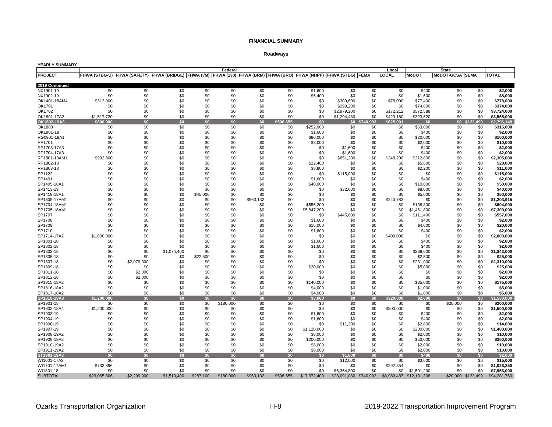## **Roadways**

| YEARLY SUMMARY           |                                                                                                                             |             |             |            |                  |            |            |                     |                        |               |                       |                          |                                 |            |                          |
|--------------------------|-----------------------------------------------------------------------------------------------------------------------------|-------------|-------------|------------|------------------|------------|------------|---------------------|------------------------|---------------|-----------------------|--------------------------|---------------------------------|------------|--------------------------|
| <b>PROJECT</b>           | FHWA (STBG-U)  FHWA (SAFETY)  FHWA (BRIDGE)  FHWA (I/M)  FHWA (130)  FHWA (BRM)  FHWA (BRO)  FHWA (NHPP)  FHWA (STBG)  FEMA |             |             |            | Federal          |            |            |                     |                        |               | Local<br><b>LOCAL</b> | <b>MoDOT</b>             | <b>State</b><br>MoDOT-GCSA SEMA |            | <b>TOTAL</b>             |
|                          |                                                                                                                             |             |             |            |                  |            |            |                     |                        |               |                       |                          |                                 |            |                          |
| 2019 Continued           |                                                                                                                             |             |             |            |                  |            |            |                     |                        |               |                       |                          |                                 |            |                          |
| NX1901-19                | \$0                                                                                                                         | \$0         | \$0         | \$0        | \$0              | \$0        | \$0        | \$1,600             | \$0                    | \$0           | \$0                   | \$400                    | \$0                             | \$0        | \$2,000                  |
| NX1902-19                | \$0                                                                                                                         | \$0         | \$0         | \$0        | \$0              | \$0        | \$0        | \$6,400             | \$0                    | \$0           | \$0                   | \$1,600                  | \$0                             | \$0        | \$8,000                  |
| OK1401-18AM4             | \$313,000                                                                                                                   | \$0         | \$0         | \$0        | \$0              | \$0        | \$0        | \$0                 | \$309,600              | \$0           | \$78,000              | \$77.400                 | \$0                             | \$0        | \$778.000                |
| OK1701                   | \$0                                                                                                                         | \$0         | \$0         | \$0        | \$0              | \$0        | \$0        | \$0                 | \$299.200              | \$0           | \$0                   | \$74,800                 | \$0                             | \$0        | \$374.000                |
| OK1702                   | \$0                                                                                                                         | \$0         | \$0         | \$0        | \$0              | \$0        | \$0        | \$0                 | \$2,979,200            | \$0           | \$172,212             | \$572.588                | \$0                             | \$0        | \$3.724.000              |
| OK1801-17A2              | \$1,517,720                                                                                                                 | \$0         | \$0         | \$0        | \$0              | \$0        | \$0        | \$0                 | \$1,294,480            | \$0           | \$429,180             | \$323,620                | \$0                             | \$0        | \$3,565,000              |
| OK1802-19A3              | \$800,000                                                                                                                   | \$0         | \$0         | \$0        | \$0              | \$0        | \$506,655  | \$0                 |                        | \$0 \$740,993 | \$625,001             | \$0                      | \$0 \$123.                      | 499        | \$2,796,148              |
| OK1803                   | \$0                                                                                                                         | \$0         | \$0         | \$0        | \$0              | \$0        | \$0        | \$252,000           | \$0                    | \$0           | \$0                   | \$63,000                 | \$0                             | \$0        | \$315,000                |
| OK1901-19                | \$0                                                                                                                         | \$0         | \$0         | \$0        | \$0              | \$0        | \$0        | \$1,600             | \$0                    | \$0           | \$0                   | \$400                    | \$0                             | \$0        | \$2,000                  |
| RG0901-18A1              | \$0                                                                                                                         | \$0         | \$0         | \$0        | \$0              | \$0        | \$0        | \$80,000            | \$0                    | \$0           | \$0                   | \$20,000                 | \$0                             | \$0        | \$100,000                |
| RP1701                   | \$0                                                                                                                         | \$0         | \$0         | \$0        | \$0              | \$0        | \$0        | \$8,000             | \$0                    | \$0           | \$0                   | \$2,000                  | \$0                             | \$0        | \$10,000                 |
| RP1703-17A3              | \$0                                                                                                                         | \$0         | \$0         | \$0        | \$0              | \$0        | \$0        | \$0                 | \$1,600                | \$0           | \$0                   | \$400                    | \$0                             | \$0        | \$2,000                  |
| RP1704-17A3              | \$0                                                                                                                         | \$0         | \$0         | \$0        | \$0              | \$0        | \$0        | \$0                 | \$1,600                | \$0           | \$0                   | \$400                    | \$0                             | \$0        | \$2,000                  |
| RP1801-18AM1             | \$992,800                                                                                                                   | \$0         | \$0         | \$0        | \$0              | \$0        | \$0        | \$0                 | \$851,200              | \$0           | \$248,200             | \$212,800                | \$0                             | \$0        | \$2,305,000              |
| RP1802-18                | \$0                                                                                                                         | \$0         | \$0         | \$0        | \$0              | \$0        | \$0        | \$22.400            | \$0                    | \$0           | \$0                   | \$5,600                  | \$0                             | \$0        | \$28,000                 |
| RP1803-18                | \$0                                                                                                                         | \$0         | \$0         | \$0        | \$0              | \$0        | \$0        | \$8,800             | \$0                    | \$0           | \$0                   | \$2,200                  | \$0                             | \$0        | \$11,000                 |
| SP1122<br>SP1401         | \$0<br>\$0                                                                                                                  | \$0<br>\$0  | \$0<br>\$0  | \$0<br>\$0 | \$0<br>\$0       | \$0<br>\$0 | \$0<br>\$0 | \$0                 | \$115,000<br>\$0       | \$0<br>\$0    | \$0<br>\$0            | \$0<br>\$400             | \$0<br>\$0                      | \$0<br>\$0 | \$115,000<br>\$2,000     |
| SP1405-18A1              | \$0                                                                                                                         | \$0         | \$0         | \$0        | \$0              | \$0        | \$0        | \$1,600<br>\$40,000 | \$0                    | \$0           | \$0                   | \$10,000                 | \$0                             | \$0        | \$50,000                 |
| SP1413-19                | \$0                                                                                                                         | \$0         | \$0         | \$0        | \$0              | \$0        | \$0        | \$0                 | \$32,000               | \$0           | \$0                   | \$8,000                  | \$0                             | \$0        | \$40,000                 |
| SP1419-18A1              | \$0                                                                                                                         | \$0         | \$0         | \$45,000   | \$0              | \$0        | \$0        | \$0                 | \$0                    | \$0           | \$0                   | \$5,000                  | \$0                             | \$0        | \$50.000                 |
| SP1605-17AM1             | \$0                                                                                                                         | \$0         | \$0         | \$0        | \$0              | \$963,132  | \$0        | \$0                 | \$0                    | \$0           | \$240,783             | \$0                      | \$0                             | \$0        | \$1,203,915              |
| SP1704-18AM1             | \$0                                                                                                                         | \$0         | \$0         | \$0        | \$0              | \$0        | \$0        | \$555,200           | \$0                    | \$0           | \$0                   | \$138,800                | \$0                             | \$0        | \$694,000                |
| SP1705-18AM1             | \$0                                                                                                                         | \$0         | \$0         | \$0        | \$0              | \$0        | \$0        | \$5,847,200         | \$0                    | \$0           | \$0                   | \$1,461,800              | \$0                             | \$0        | \$7.309.000              |
| SP1707                   | \$0                                                                                                                         | \$0         | \$0         | \$0        | \$0              | \$0        | \$0        | \$0                 | \$445,600              | \$0           | \$0                   | \$111.400                | \$0                             | \$0        | \$557.000                |
| SP1708                   | \$0                                                                                                                         | \$0         | \$0         | \$0        | \$0              | \$0        | \$0        | \$1,600             | \$0                    | \$0           | \$0                   | \$400                    | \$0                             | \$0        | \$2,000                  |
| SP1709                   | \$0                                                                                                                         | \$0         | \$0         | \$0        | \$0              | \$0        | \$0        | \$16,000            | \$0                    | \$0           | \$0                   | \$4,000                  | \$0                             | \$0        | \$20,000                 |
| SP1710                   | \$0                                                                                                                         | \$0         | \$0         | \$0        | \$0              | \$0        | \$0        | \$1,600             | \$0                    | \$0           | \$0                   | \$400                    | \$0                             | \$0        | \$2,000                  |
| SP1714-17A2              | \$1,600,000                                                                                                                 | \$0         | \$0         | \$0        | \$0              | \$0        | \$0        | \$0                 | \$0                    | \$0           | \$400,000             | \$0                      | \$0                             | \$0        | \$2,000,000              |
| SP1801-18                | \$0                                                                                                                         | \$0         | \$0         | \$0        | \$0              | \$0        | \$0        | \$1,600             | \$0                    | \$0           | \$0                   | \$400                    | \$0                             | \$0        | \$2,000                  |
| SP1802-18                | \$0                                                                                                                         | \$0         | \$0         | \$0        | \$0              | \$0        | \$0        | \$1,600             | \$0                    | \$0           | \$0                   | \$400                    | \$0                             | \$0        | \$2,000                  |
| SP1803-18                | \$0                                                                                                                         | \$0         | \$1,074,400 | \$0        | \$0              | \$0        | \$0        | \$0                 | \$0                    | \$0           | \$0                   | \$268,600                | \$0                             | \$0        | \$1,343,000              |
| SP1805-18                | \$0                                                                                                                         | \$0         | \$0         | \$22,500   | \$0              | \$0        | \$0        | \$0                 | \$0                    | \$0           | \$0                   | \$2,500                  | \$0                             | \$0        | \$25,000                 |
| SP1807-18                | \$0                                                                                                                         | \$2.079.000 | \$0         | \$0        | \$0              | \$0        | \$0        | \$0                 | \$0                    | \$0           | \$0                   | \$231,000                | \$0                             | \$0        | \$2,310,000              |
| SP1809-18                | \$0                                                                                                                         | \$0         | \$0         | \$0        | \$0              | \$0        | \$0        | \$20,000            | \$0                    | \$0           | \$0                   | \$5,000                  | \$0                             | \$0        | \$25.000                 |
| SP1811-18                | \$0                                                                                                                         | \$2,000     | \$0         | \$0        | \$0              | \$0        | \$0        | \$0                 | \$0                    | \$0           | \$0                   | \$0                      | \$0                             | \$0        | \$2,000                  |
| SP1812-18                | \$0                                                                                                                         | \$2,000     | \$0         | \$0        | \$0              | \$0        | \$0        | \$0                 | \$0                    | \$0           | \$0                   | \$0                      | \$0                             | \$0        | \$2,000                  |
| SP1815-18A2              | \$0                                                                                                                         | \$0         | \$0         | \$0        | \$0              | \$0        | \$0        | \$140,000           | \$0                    | \$0           | \$0                   | \$35,000                 | \$0                             | \$0        | \$175,000                |
| SP1816-18A2              | \$0                                                                                                                         | \$0         | \$0         | \$0        | \$0              | \$0        | \$0        | \$4,000             | \$0                    | \$0           | \$0                   | \$1,000                  | \$0                             | \$0        | \$5,000                  |
| SP1817-18A2              | \$0                                                                                                                         | \$0         | \$0         | \$0        | \$0              | \$0        | \$0        | \$4,000             | \$0                    | \$0           | \$0                   | \$1,000                  | \$0                             | \$0        | \$5,000                  |
| SP1818-19A3<br>SP1901-18 | \$1,200,000<br>\$0                                                                                                          | \$0<br>\$0  | \$0<br>\$0  | \$0<br>\$0 | \$0<br>\$180,000 | \$0<br>\$0 | \$0<br>\$0 | \$8,000<br>\$0      | \$0<br>\$0             | \$0<br>\$0    | \$320,000<br>\$0      | \$2,000<br>\$0           | \$0<br>\$20,000                 | \$0<br>\$0 | \$1,530,000<br>\$200,000 |
| SP1902-18A4              | \$1,200,000                                                                                                                 | \$0         | \$0         | \$0        | \$0              | \$0        | \$0        | \$0                 | \$0                    | \$0           | \$300,000             | \$0                      | \$0                             | \$0        | \$1,500,000              |
| SP1903-19                | \$0                                                                                                                         | \$0         | \$0         | \$0        | \$0              | \$0        | \$0        | \$1,600             | \$0                    | \$0           | \$0                   | \$400                    | \$0                             | \$0        | \$2,000                  |
| SP1904-19                | \$0                                                                                                                         | \$0         | \$0         | \$0        | \$0              | \$0        | \$0        | \$1,600             | \$0                    | \$0           | \$0                   | \$400                    | \$0                             | \$0        | \$2.000                  |
| SP1906-19                | \$0                                                                                                                         | \$0         | \$0         | \$0        | \$0              | \$0        | \$0        | \$0                 | \$11,200               | \$0           | \$0                   | \$2,800                  | \$0                             | \$0        | \$14.000                 |
| SP1907-19                | \$0                                                                                                                         | \$0         | \$0         | \$0        | \$0              | \$0        | \$0        | \$1,120,000         | \$0                    | \$0           | \$0                   | \$280,000                | \$0                             | \$0        | \$1,400,000              |
| SP1908-19A2              | \$0                                                                                                                         | \$0         | \$0         | \$0        | \$0              | \$0        | \$0        | \$8,000             | \$0                    | \$0           | \$0                   | \$2,000                  | \$0                             | \$0        | \$10,000                 |
| SP1909-19A2              | \$0                                                                                                                         | \$0         | \$0         | \$0        | \$0              | \$0        | \$0        | \$200,000           | \$0                    | \$0           | \$0                   | \$50,000                 | \$0                             | \$0        | \$250,000                |
| SP1910-19A2              | \$0                                                                                                                         | \$0         | \$0         | \$0        | \$0              | \$0        | \$0        | \$8,000             | \$0                    | \$0           | \$0                   | \$2,000                  | \$0                             | \$0        | \$10,000                 |
| SP1911-19A2              | \$0                                                                                                                         | \$0         | \$0         | \$0        | \$0              | \$0        | \$0        | \$8,000             | \$0                    | \$0           | \$0                   | \$2,000                  | \$0                             | \$0        | \$10,000                 |
| ST1901-19A3              | \$0                                                                                                                         | \$0         | \$0         | \$0        | \$0              | \$0        | \$0        | \$0                 | \$1,600                | \$0           | \$0                   | \$400                    | \$0                             | \$0        | \$2,000                  |
| WI1001-17A2              | \$0                                                                                                                         | \$0         | \$0         | \$0        | \$0              | \$0        | \$0        | \$0                 | \$12,000               | \$0           | \$0                   | \$3.000                  | \$0                             | \$0        | \$15.000                 |
| WI1701-17AM1             | \$733,896                                                                                                                   | \$0         | \$0         | \$0        | \$0              | \$0        | \$0        | \$0                 | \$0                    | \$0           | \$292.354             | \$0                      | \$0                             | \$0        | \$1,026,250              |
| WI1801-18                | \$0                                                                                                                         | \$0         | \$0         | \$0        | \$0              | \$0        | \$0        | \$0                 | \$6,364,800            | \$0           |                       | \$0 \$1,591,200          | \$0                             | \$0        | \$7,956,000              |
| <b>SUBTOTAL</b>          | \$23,065,806                                                                                                                | \$2.299.900 | \$1,510,400 | \$287,100  | \$180,000        | \$963.132  | \$506,655  | \$17,372,400        | \$28,091,080 \$740,993 |               |                       | \$6,989,487 \$12,131,308 | \$20,000 \$123,499              |            | \$94,281,760             |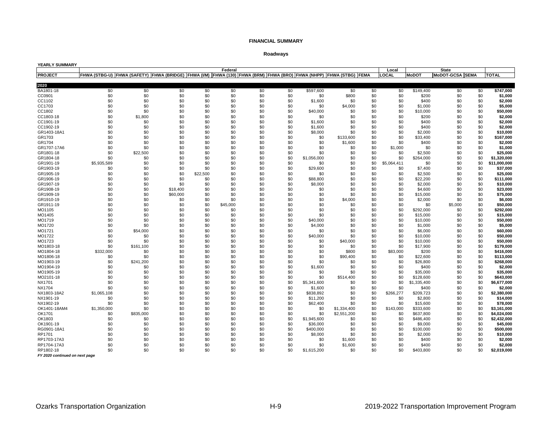## **Roadways**

| <b>YEARLY SUMMARY</b>          |                                                                                                                             |           |          |          |          |     |     |             |             |     |             |              |                        |              |
|--------------------------------|-----------------------------------------------------------------------------------------------------------------------------|-----------|----------|----------|----------|-----|-----|-------------|-------------|-----|-------------|--------------|------------------------|--------------|
|                                |                                                                                                                             |           |          |          | Federal  |     |     |             |             |     | Local       |              | <b>State</b>           |              |
| <b>PROJECT</b>                 | FHWA (STBG-U)  FHWA (SAFETY)  FHWA (BRIDGE)  FHWA (I/M)  FHWA (130)  FHWA (BRM)  FHWA (BRO)  FHWA (NHPP)  FHWA (STBG)  FEMA |           |          |          |          |     |     |             |             |     | LOCAL       | <b>MoDOT</b> | <b>MoDOT-GCSA SEMA</b> | TOTAL        |
|                                |                                                                                                                             |           |          |          |          |     |     |             |             |     |             |              |                        |              |
| 2020                           |                                                                                                                             |           |          |          |          |     |     |             |             |     |             |              |                        |              |
| BA1801-18                      | \$0                                                                                                                         | \$0       | \$0      | \$0      | \$0      | \$0 | \$0 | \$597,600   | \$0         | \$0 | \$0         | \$149,400    | \$0<br>\$0             | \$747,000    |
| CC0901                         | \$0                                                                                                                         | \$0       | \$0      | \$0      | \$0      | \$0 | \$0 | \$0         | \$800       | \$0 | \$0         | \$200        | \$0<br>\$0             | \$1,000      |
| CC1102                         | \$0                                                                                                                         | \$0       | \$0      | \$0      | \$0      | \$0 | \$0 | \$1,600     | \$0         | \$0 | \$0         | \$400        | \$0<br>\$0             | \$2.000      |
| CC1703                         | \$0                                                                                                                         | \$0       | \$0      | \$0      | \$0      | \$0 | \$0 | \$0         | \$4,000     | \$0 | \$0         | \$1,000      | \$0<br>\$0             | \$5,000      |
| CC1802                         | \$0                                                                                                                         | \$0       | \$0      | \$0      | \$0      | \$0 | \$0 | \$40,000    | \$0         | \$0 | \$0         | \$10,000     | \$0<br>\$0             | \$50,000     |
| CC1803-18                      | \$0                                                                                                                         | \$1,800   | \$0      | \$0      | \$0      | \$0 | \$0 | \$0         | \$0         | \$0 | \$0         | \$200        | \$0<br>\$0             | \$2,000      |
| CC1901-19                      | \$0                                                                                                                         | \$0       | \$0      | \$0      | \$0      | \$0 | \$0 | \$1,600     | \$0         | \$0 | \$0         | \$400        | \$0<br>\$0             | \$2,000      |
| CC1902-19                      | \$0                                                                                                                         | \$0       | \$0      | \$0      | \$0      | \$0 | \$0 | \$1,600     | \$0         | \$0 | \$0         | \$400        | \$0<br>\$0             | \$2,000      |
| GR1403-18A1                    | \$0                                                                                                                         | \$0       | \$0      | \$0      | \$0      | \$0 | \$0 | \$8,000     | \$0         | \$0 | \$0         | \$2,000      | \$0<br>\$0             | \$10,000     |
| GR1703                         | \$0                                                                                                                         | \$0       | \$0      | \$0      | \$0      | \$0 | \$0 | \$0         | \$133,600   | \$0 | \$0         | \$33,400     | \$0<br>\$0             | \$167,000    |
| GR1704                         | \$0                                                                                                                         | \$0       | \$0      | \$0      | \$0      | \$0 | \$0 | \$0         | \$1,600     | \$0 | \$0         | \$400        | \$0<br>\$0             | \$2,000      |
| GR1707-17A6                    | \$0                                                                                                                         | \$0       | \$0      | \$0      | \$0      | \$0 | \$0 | \$0         | \$0         | \$0 | \$1,000     | \$0          | \$0<br>\$0             | \$1,000      |
| GR1801-18                      | \$0                                                                                                                         | \$22,500  | \$0      | \$0      | \$0      | \$0 | \$0 | \$0         | \$0         | \$0 | \$0         | \$2.500      | \$0<br>\$0             | \$25,000     |
| GR1804-18                      | \$0                                                                                                                         | \$0       | \$0      | \$0      | \$0      | \$0 | \$0 | \$1,056,000 | \$0         | \$0 | \$0         | \$264.000    | \$0<br>\$0             | \$1,320,000  |
| GR1901-19                      | \$5,935,589                                                                                                                 | \$0       | \$0      | \$0      | \$0      | \$0 | \$0 | \$0         | \$0         | \$0 | \$5,064,411 | \$0          | \$0<br>\$0             | \$11,000,000 |
| GR1903-19                      | \$0                                                                                                                         | \$0       | \$0      | \$0      | \$0      | \$0 | \$0 | \$29,600    | \$0         | \$0 | \$0         | \$7,400      | \$0<br>\$0             | \$37,000     |
| GR1905-19                      | \$0                                                                                                                         | \$0       | \$0      | \$22,500 | \$0      | \$0 | \$0 | \$0         | \$0         | \$0 | \$0         | \$2.500      | \$0<br>\$0             | \$25.000     |
| GR1906-19                      | \$0                                                                                                                         | \$0       | \$0      | \$0      | \$0      | \$0 | \$0 | \$88,800    | \$0         | \$0 | \$0         | \$22,200     | \$0<br>\$0             | \$111.000    |
| GR1907-19                      | \$0                                                                                                                         | \$0       | \$0      | \$0      | \$0      | \$0 | \$0 | \$8,000     | \$0         | \$0 | \$0         | \$2,000      | \$0<br>\$0             | \$10,000     |
| GR1908-19                      | \$0                                                                                                                         | \$0       | \$18,400 | \$0      | \$0      | \$0 | \$0 | \$0         | \$0         | \$0 | \$0         | \$4,600      | \$0<br>\$0             | \$23,000     |
| GR1909-19                      | \$0                                                                                                                         | \$0       | \$60,000 | \$0      | \$0      | \$0 | \$0 | \$0         | \$0         | \$0 | \$0         | \$15,000     | \$0<br>\$0             | \$75.000     |
| GR1910-19                      | \$0                                                                                                                         | \$0       | \$0      | \$0      | \$0      | \$0 | \$0 | \$0         | \$4,000     | \$0 | \$0         | \$2,000      | \$0<br>\$0             | \$6.000      |
| GR1911-19                      | \$0                                                                                                                         | \$0       | \$0      | \$0      | \$45,000 | \$0 | \$0 | \$0         | \$0         | \$0 | \$0         | \$0          | \$0<br>\$5,000         | \$50,000     |
| MO1105                         | \$0                                                                                                                         | \$0       | \$0      | \$0      | \$0      | \$0 | \$0 | \$0         | \$0         | \$0 | \$0         | \$292,000    | \$0<br>\$0             | \$292,000    |
| MO1405                         | \$0                                                                                                                         | \$0       | \$0      | \$0      | \$0      | \$0 | \$0 | \$0         | \$0         | \$0 | \$0         | \$15,000     | \$0<br>\$0             | \$15,000     |
| MO1719                         | \$0                                                                                                                         | \$0       | \$0      | \$0      | \$0      | \$0 | \$0 | \$40,000    | \$0         | \$0 | \$0         | \$10,000     | \$0<br>\$0             | \$50,000     |
| MO1720                         | \$0                                                                                                                         | \$0       | \$0      | \$0      | \$0      | \$0 | \$0 | \$4,000     | \$0         | \$0 | \$0         | \$1,000      | \$0<br>\$0             | \$5,000      |
| MO1721                         | \$0                                                                                                                         | \$54,000  | \$0      | \$0      | \$0      | \$0 | \$0 | \$0         | \$0         | \$0 | \$0         | \$6,000      | \$0<br>\$0             | \$60,000     |
| MO1722                         | \$0                                                                                                                         | \$0       | \$0      | \$0      | \$0      | \$0 | \$0 | \$40,000    | \$0         | \$0 | \$0         | \$10,000     | \$0<br>\$0             | \$50.000     |
| MO1723                         | \$0                                                                                                                         | \$0       | \$0      | \$0      | \$0      | \$0 | \$0 | \$0         | \$40,000    | \$0 | \$0         | \$10,000     | \$0<br>\$0             | \$50,000     |
| MO1803-18                      | \$0                                                                                                                         | \$161,100 | \$0      | \$0      | \$0      | \$0 | \$0 | \$0         | \$0         | \$0 | \$0         | \$17,900     | \$0<br>\$0             | \$179,000    |
| MO1804-18                      | \$332,000                                                                                                                   | \$0       | \$0      | \$0      | \$0      | \$0 | \$0 | \$0         | \$800       | \$0 | \$83,000    | \$200        | \$0<br>\$0             | \$416,000    |
| MO1806-18                      | \$0                                                                                                                         | \$0       | \$0      | \$0      | \$0      | \$0 | \$0 | \$0         | \$90,400    | \$0 | \$0         | \$22,600     | \$0<br>\$0             | \$113.000    |
| MO1903-19                      | \$0                                                                                                                         | \$241,200 | \$0      | \$0      | \$0      | \$0 | \$0 | \$0         | \$0         | \$0 | \$0         | \$26,800     | \$0<br>\$0             | \$268,000    |
| MO1904-19                      | \$0                                                                                                                         | \$0       | \$0      | \$0      | \$0      | \$0 | \$0 | \$1,600     | \$0         | \$0 | \$0         | \$400        | \$0<br>\$0             | \$2,000      |
| MO1905-19                      | \$0                                                                                                                         | \$0       | \$0      | \$0      | \$0      | \$0 | \$0 | \$0         | \$0         | \$0 | \$0         | \$35,000     | \$0<br>\$0             | \$35,000     |
| MO2101-18                      | \$0                                                                                                                         | \$0       | \$0      | \$0      | \$0      | \$0 | \$0 | \$0         | \$514,400   | \$0 | \$0         | \$128,600    | \$0<br>\$0             | \$643.000    |
| NX1701                         | \$0                                                                                                                         | \$0       | \$0      | \$0      | \$0      | \$0 | \$0 | \$5,341,600 | \$0         | \$0 | \$0         | \$1,335,400  | \$0<br>\$0             | \$6,677,000  |
| NX1704                         | \$0                                                                                                                         | \$0       | \$0      | \$0      | \$0      | \$0 | \$0 | \$1,600     | \$0         | \$0 | \$0         | \$400        | \$0<br>\$0             | \$2,000      |
| NX1803-18A2                    | \$1,065,108                                                                                                                 | \$0       | \$0      | \$0      | \$0      | \$0 | \$0 | \$838,892   | \$0         | \$0 | \$266,277   | \$209,723    | \$0<br>\$0             | \$2,380,000  |
| NX1901-19                      | \$0                                                                                                                         | \$0       | \$0      | \$0      | \$0      | \$0 | \$0 | \$11,200    | \$0         | \$0 | \$0         | \$2,800      | \$0<br>\$0             | \$14,000     |
| NX1902-19                      | \$0                                                                                                                         | \$0       | \$0      | \$0      | \$0      | \$0 | \$0 | \$62,400    | \$0         | \$0 | \$0         | \$15,600     | \$0<br>\$0             | \$78.000     |
| OK1401-18AM4                   | \$1,350,000                                                                                                                 | \$0       | \$0      | \$0      | \$0      | \$0 | \$0 | \$0         | \$1,334,400 | \$0 | \$143,000   | \$333,600    | \$0<br>\$0             | \$3,161,000  |
| OK1701                         | \$0                                                                                                                         | \$835,000 | \$0      | \$0      | \$0      | \$0 | \$0 | \$0         | \$2,551,200 | \$0 | \$0         | \$637,800    | \$0<br>\$0             | \$4,024,000  |
| OK1803                         | \$0                                                                                                                         | \$0       | \$0      | \$0      | \$0      | \$0 | \$0 | \$1,945,600 | \$0         | \$0 | \$0         | \$486,400    | \$0<br>\$0             | \$2,432,000  |
| OK1901-19                      | \$0                                                                                                                         | \$0       | \$0      | \$0      | \$0      | \$0 | \$0 | \$36,000    | \$0         | \$0 | \$0         | \$9,000      | \$0<br>\$0             | \$45.000     |
| RG0901-18A1                    | \$0                                                                                                                         | \$0       | \$0      | \$0      | \$0      | \$0 | \$0 | \$400,000   | \$0         | \$0 | \$0         | \$100,000    | \$0<br>\$0             | \$500.000    |
| RP1701                         | \$0                                                                                                                         | \$0       | \$0      | \$0      | \$0      | \$0 | \$0 | \$8,000     | \$0         | \$0 | \$0         | \$2,000      | \$0<br>\$0             | \$10,000     |
| RP1703-17A3                    | \$0                                                                                                                         | \$0       | \$0      | \$0      | \$0      | \$0 | \$0 | \$0         | \$1,600     | \$0 | \$0         | \$400        | \$0<br>\$0             | \$2,000      |
| RP1704-17A3                    | \$0                                                                                                                         | \$0       | \$0      | \$0      | \$0      | \$0 | \$0 | \$0         | \$1,600     | \$0 | \$0         | \$400        | \$0<br>\$0             | \$2.000      |
| RP1802-18                      | \$0                                                                                                                         | \$0       | \$0      | \$0      | \$0      | \$0 | \$0 |             | \$0         | \$0 | \$0         |              | \$0<br>\$0             | \$2,019,000  |
|                                |                                                                                                                             |           |          |          |          |     |     | \$1,615,200 |             |     |             | \$403,800    |                        |              |
| FY 2020 continued on next page |                                                                                                                             |           |          |          |          |     |     |             |             |     |             |              |                        |              |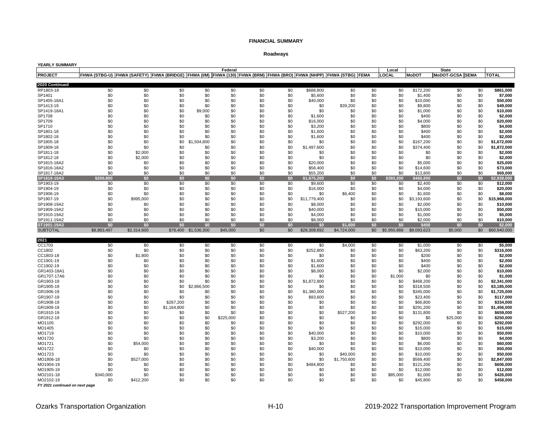## **Roadways**

| YEARLY SUMMARY           |             |                                                                                                                            |             |                      |            |            |            |                     |                |            |                 |                    |                 |            |                        |
|--------------------------|-------------|----------------------------------------------------------------------------------------------------------------------------|-------------|----------------------|------------|------------|------------|---------------------|----------------|------------|-----------------|--------------------|-----------------|------------|------------------------|
|                          |             |                                                                                                                            |             |                      | Federal    |            |            |                     |                |            | Local           |                    | <b>State</b>    |            |                        |
| <b>PROJECT</b>           |             | FHWA (STBG-U)  FHWA (SAFETY)  FHWA (BRIDGE)  FHWA (IM)  FHWA (130)  FHWA (BRM)  FHWA (BRO)  FHWA (NHPP)  FHWA (STBG)  FEMA |             |                      |            |            |            |                     |                |            | LOCAL           | <b>MoDOT</b>       | MoDOT-GCSA SEMA |            | <b>TOTAL</b>           |
| 2020 Continued           |             |                                                                                                                            |             |                      |            |            |            |                     |                |            |                 |                    |                 |            |                        |
| RP1803-18                | \$0         | \$0                                                                                                                        | \$0         | \$0                  | \$0        | \$0        | \$0        | \$688,800           | \$0            | \$0        | \$0             | \$172,200          | \$0             | \$0        | \$861,000              |
| SP1401                   | \$0         | \$0                                                                                                                        | \$0         | \$0                  | \$0        | \$0        | \$0        | \$5,600             | \$0            | \$0        | \$0             | \$1,400            | \$0             | \$0        | \$7,000                |
| SP1405-18A1              | \$0         | \$0                                                                                                                        | \$0         | \$0                  | \$0        | \$0        | \$0        | \$40,000            | \$0            | \$0        | \$0             | \$10,000           | \$0             | \$0        | \$50,000               |
| SP1413-19                | \$0         | \$0                                                                                                                        | \$0         | \$0                  | \$0        | \$0        | \$0        | \$0                 | \$39,200       | \$0        | \$0             | \$9,800            | \$0             | \$0        | \$49,000               |
| SP1419-18A1              | \$0         | \$0                                                                                                                        | \$0         | \$9,000              | \$0        | \$0        | \$0        | \$0                 | \$0            | \$0        | \$0             | \$1,000            | \$0             | \$0        | \$10,000               |
| SP1708                   | \$0         | \$0                                                                                                                        | \$0         | \$0                  | \$0        | \$0        | \$0        | \$1,600             | \$0            | \$0        | \$0             | \$400              | \$0             | \$0        | \$2,000                |
| SP1709                   | \$0         | \$0                                                                                                                        | \$0         | \$0                  | \$0        | \$0        | \$0        | \$16,000            | \$0            | \$0        | \$0             | \$4,000            | \$0             | \$0        | \$20,000               |
| SP1710                   | \$0         | \$0                                                                                                                        | \$0         | \$0                  | \$0        | \$0        | \$0        | \$3,200             | \$0            | \$0        | \$0             | \$800              | \$0             | \$0        | \$4,000                |
| SP1801-18                | \$0         | \$0                                                                                                                        | \$0         | \$0                  | \$0        | \$0        | \$0        | \$1,600             | \$0            | \$0        | \$0             | \$400              | \$0             | \$0        | \$2,000                |
| SP1802-18                | \$0         | \$0                                                                                                                        | \$0         | \$0                  | \$0        | \$0        | \$0        | \$1,600             | \$0            | \$0        | \$0             | \$400              | \$0             | \$0        | \$2.000                |
| SP1805-18                | \$0         | \$0                                                                                                                        | \$0         | ,504,800<br>\$1      | \$0        | \$0        | \$0        | \$0                 | \$0            | \$0        | \$0             | \$167,200          | \$0             | \$0        | \$1,672,000            |
| SP1809-18                | \$0         | \$0                                                                                                                        | \$0         | \$0                  | \$0        | \$0        | \$0        | \$1.497.600         | \$0            | \$0        | \$0             | \$374,400          | \$0             | \$0        | \$1,872,000            |
| SP1811-18                | \$0         | \$2,000                                                                                                                    | \$0         | \$0                  | \$0        | \$0        | \$0        | \$0                 | \$0            | \$0        | \$0             | \$0                | \$0             | \$0        | \$2,000                |
| SP1812-18                | \$0         | \$2,000                                                                                                                    | \$0         | \$0                  | \$0        | \$0        | \$0        | \$0                 | \$0            | \$0        | \$0             | \$0                | \$0             | \$0        | \$2,000                |
| SP1815-18A2              | \$0         | \$0                                                                                                                        | \$0         | \$0                  | \$0        | \$0        | \$0        | \$20,000            | \$0            | \$0        | \$0             | \$5,000            | \$0             | \$0        | \$25,000               |
| SP1816-18A2              | \$0         | \$0                                                                                                                        | \$0         | \$0                  | \$0        | \$0        | \$0        | \$58,400            | \$0            | \$0        | \$0             | \$14,600           | \$0             | \$0        | \$73,000               |
| SP1817-18A2              | \$0         | \$0                                                                                                                        | \$0         | \$0                  | \$0        | \$0        | \$0        | \$55,200            | \$0            | \$0        | \$0             | \$13,800           | \$0             | \$0        | \$69,000               |
| SP1818-19A3              | \$200,800   | \$0                                                                                                                        | \$0         | \$0                  | \$0        | \$0        | \$0        | \$1,875,200         | \$0            | \$0        | \$393,200       | \$468,800          | \$0             | \$0        | 2,938,000              |
| SP1903-19<br>SP1904-19   | \$0<br>\$0  | \$0<br>\$0                                                                                                                 | \$0<br>\$0  | \$0<br>\$0           | \$0<br>\$0 | \$0<br>\$0 | \$0<br>\$0 | \$9,600<br>\$16,000 | \$0            | \$0<br>\$0 | \$0<br>\$0      | \$2,400            | \$0<br>\$0      | \$0<br>\$0 | \$12,000<br>\$20.000   |
| SP1906-19                | \$0         | \$0                                                                                                                        | \$0         | \$0                  | \$0        | \$0        | \$0        | \$0                 | \$0<br>\$6,400 | \$0        | \$0             | \$4.000<br>\$1,600 | \$0             | \$0        | \$8,000                |
| SP1907-19                | \$0         | \$995,000                                                                                                                  | \$0         | \$0                  | \$0        | \$0        | \$0        | \$11,779,400        | \$0            | \$0        | \$0             | \$3,193,600        | \$0             | \$0        | \$15,968,000           |
| SP1908-19A2              | \$0         | \$0                                                                                                                        | \$0         | \$0                  | \$0        | \$0        | \$0        | \$8,000             | \$0            | \$0        | \$0             | \$2,000            | \$0             | \$0        | \$10,000               |
| SP1909-19A2              | \$0         | \$0                                                                                                                        | \$0         | \$0                  | \$0        | \$0        | \$0        | \$40,000            | \$0            | \$0        | \$0             | \$10,000           | \$0             | \$0        | \$50,000               |
| SP1910-19A2              | \$0         | \$0                                                                                                                        | \$0         | \$0                  | \$0        | \$0        | \$0        | \$4.000             | \$0            | \$0        | \$0             | \$1,000            | \$0             | \$0        | \$5,000                |
| SP1911-19A2              | \$0         | \$0                                                                                                                        | \$0         | \$0                  | \$0        | \$0        | \$0        | \$8,000             | \$0            | \$0        | \$0             | \$2,000            | \$0             | \$0        | \$10,000               |
| ST1901-19A3              | \$0         | \$0                                                                                                                        | \$0         | \$0                  | \$0        | \$0        | \$0        | \$0                 | \$1,600        | \$0        | \$0             | \$400              | \$0             | \$0        | \$2,000                |
| <b>SUBTOTAL</b>          | \$8,883,497 | \$2,314,600                                                                                                                |             | \$78,400 \$1,536,300 | \$45,000   | \$0        | \$0        | \$28,308,692        | \$4,724,000    |            | \$0 \$5,950,888 | \$9,093,623        | \$5,000         | \$0        | \$60,940,000           |
|                          |             |                                                                                                                            |             |                      |            |            |            |                     |                |            |                 |                    |                 |            |                        |
| 2021                     |             |                                                                                                                            |             |                      |            |            |            |                     |                |            |                 |                    |                 |            |                        |
| CC1703                   | \$0         | \$0                                                                                                                        | \$0         | \$0                  | \$0        | \$0        | \$0        | \$0                 | \$4,000        | \$0        | \$0             | \$1,000            | \$0             | \$0        | \$5,000                |
| CC1802                   | \$0         | \$0                                                                                                                        | \$0         | \$0                  | \$0        | \$0        | \$0        | \$252,800           | \$0            | \$0        | \$0             | \$63,200           | \$0             | \$0        | \$316,000              |
| CC1803-18                | \$0         | \$1,800                                                                                                                    | \$0         | \$0                  | \$0        | \$0        | \$0        | \$0                 | \$0            | \$0        | \$0             | \$200              | \$0             | \$0        | \$2,000                |
| CC1901-19                | \$0         | \$0                                                                                                                        | \$0         | \$0                  | \$0        | \$0        | \$0        | \$1,600             | \$0            | \$0        | \$0             | \$400              | \$0             | \$0        | \$2,000                |
| CC1902-19                | \$0         | \$0                                                                                                                        | \$0         | \$0                  | \$0        | \$0        | \$0        | \$1,600             | \$0            | \$0        | \$0             | \$400              | \$0             | \$0        | \$2,000                |
| GR1403-18A1              | \$0         | \$0                                                                                                                        | \$0         | \$0                  | \$0        | \$0        | \$0        | \$8,000             | \$0            | \$0        | \$0             | \$2,000            | \$0             | \$0        | \$10,000               |
| GR1707-17A6<br>GR1903-19 | \$0<br>\$0  | \$0<br>\$0                                                                                                                 | \$0<br>\$0  | \$0<br>\$0           | \$0<br>\$0 | \$0<br>\$0 | \$0<br>\$0 | \$0<br>\$1,872,800  | \$0<br>\$0     | \$0<br>\$0 | \$1.000<br>\$0  | \$0<br>\$468,200   | \$0<br>\$0      | \$0<br>\$0 | \$1.000<br>\$2,341,000 |
| GR1905-19                | \$0         | \$0                                                                                                                        | \$0         | \$2,866,500          | \$0        | \$0        | \$0        | \$0                 | \$0            | \$0        | \$0             | \$318,500          | \$0             | \$0        | \$3,185,000            |
| GR1906-19                | \$0         | \$0                                                                                                                        | \$0         | \$0                  | \$0        | \$0        | \$0        | \$1,380,000         | \$0            | \$0        | \$0             | \$345,000          | \$0             | \$0        | \$1,725,000            |
| GR1907-19                | \$0         | \$0                                                                                                                        | \$0         | \$0                  | \$0        | \$0        | \$0        | \$93,600            | \$0            | \$0        | \$0             | \$23,400           | \$0             | \$0        | \$117,000              |
| GR1908-19                | \$0         | \$0                                                                                                                        | \$267,200   | \$0                  | \$0        | \$0        | \$0        | \$0                 | \$0            | \$0        | \$0             | \$66,800           | \$0             | \$0        | \$334,000              |
| GR1909-19                | \$0         | \$0                                                                                                                        | \$1,164,800 | \$0                  | \$0        | \$0        | \$0        | \$0                 | \$0            | \$0        | \$0             | \$291,200          | \$0             | \$0        | \$1,456,000            |
| GR1910-19                | \$0         | \$0                                                                                                                        | \$0         | \$0                  | \$0        | \$0        | \$0        | \$0                 | .200<br>\$527  | \$0        | \$0             | \$131,800          | \$0             | \$0        | \$659,000              |
| GR1912-19                | \$0         | \$0                                                                                                                        | \$0         | \$0                  | \$225,000  | \$0        | \$0        | \$0                 | \$0            | \$0        | \$0             | \$0                | \$25,000        | \$0        | \$250,000              |
| MO1105                   | \$0         | \$0                                                                                                                        | \$0         | \$0                  | \$0        | \$0        | \$0        | \$0                 | \$0            | \$0        | \$0             | \$292,000          | \$0             | \$0        | \$292,000              |
| MO1405                   | \$0         | \$0                                                                                                                        | \$0         | \$0                  | \$0        | \$0        | \$0        | \$0                 | \$0            | \$0        | \$0             | \$15,000           | \$0             | \$0        | \$15,000               |
| MO1719                   | \$0         | \$0                                                                                                                        | \$0         | \$0                  | \$0        | \$0        | \$0        | \$40,000            | \$0            | \$0        | \$0             | \$10,000           | \$0             | \$0        | \$50,000               |
| MO1720                   | \$0         | \$0                                                                                                                        | \$0         | \$0                  | \$0        | \$0        | \$0        | \$3,200             | \$0            | \$0        | \$0             | \$800              | \$0             | \$0        | \$4,000                |
| MO1721                   | \$0         | \$54,000                                                                                                                   | \$0         | \$0                  | \$0        | \$0        | \$0        | \$0                 | \$0            | \$0        | \$0             | \$6,000            | \$0             | \$0        | \$60,000               |
| MO1722                   | \$0         | \$0                                                                                                                        | \$0         | \$0                  | \$0        | \$0        | \$0        | \$40,000            | \$0            | \$0        | \$0             | \$10,000           | \$0             | \$0        | \$50,000               |
| MO1723                   | \$0         | \$0                                                                                                                        | \$0         | \$0                  | \$0        | \$0        | \$0        | \$0                 | \$40,000       | \$0        | \$0             | \$10,000           | \$0             | \$0        | \$50,000               |
| MO1806-18                | \$0         | \$527,000                                                                                                                  | \$0         | \$0                  | \$0        | \$0        | \$0        | \$0                 | \$1,750,600    | \$0        | \$0             | \$569,400          | \$0             | \$0        | \$2,847,000            |
| MO1904-19                | \$0         | \$0                                                                                                                        | \$0         | \$0                  | \$0        | \$0        | \$0        | \$484,800           | \$0            | \$0        | \$0             | \$121,200          | \$0             | \$0        | \$606,000              |
| MO1905-19                | \$0         | \$0                                                                                                                        | \$0         | \$0                  | \$0        | \$0        | \$0        | \$0                 | \$0            | \$0        | \$0             | \$12,000           | \$0             | \$0        | \$12,000               |
| MO2101-18                | \$340,000   | \$0                                                                                                                        | \$0         | \$0                  | \$0        | \$0        | \$0        | \$0                 | \$0            | \$0        | \$85,000        | \$1,000            | \$0             | \$0        | \$426,000              |
| MO2102-19                | \$0         | \$412.200                                                                                                                  | \$0         | \$0                  | \$0        | \$0        | \$0        | \$0                 | \$0            | \$0        | \$0             | \$45,800           | \$0             | \$0        | \$458.000              |

*FY 2021 continued on next page*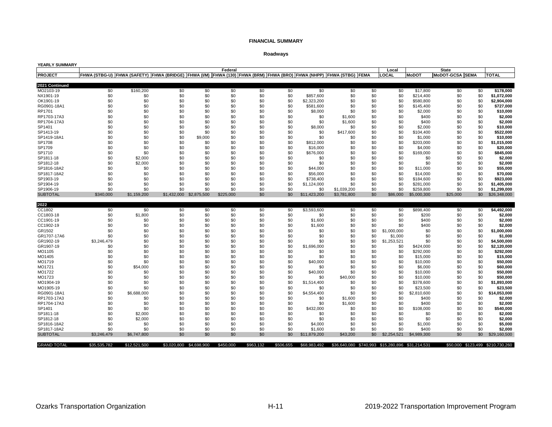## **Roadways**

| YEARLY SUMMARY     |                                                                                                                             |              |     |                         |           |           |           |              |                                                  |     |             |              |                                  |              |
|--------------------|-----------------------------------------------------------------------------------------------------------------------------|--------------|-----|-------------------------|-----------|-----------|-----------|--------------|--------------------------------------------------|-----|-------------|--------------|----------------------------------|--------------|
|                    |                                                                                                                             |              |     |                         | Federal   |           |           |              |                                                  |     | Local       |              | <b>State</b>                     |              |
| <b>PROJECT</b>     | FHWA (STBG-U)  FHWA (SAFETY)  FHWA (BRIDGE)  FHWA (I/M)  FHWA (130)  FHWA (BRM)  FHWA (BRO)  FHWA (NHPP)  FHWA (STBG)  FEMA |              |     |                         |           |           |           |              |                                                  |     | LOCAL       | <b>MoDOT</b> | MoDOT-GCSA SEMA                  | <b>TOTAL</b> |
|                    |                                                                                                                             |              |     |                         |           |           |           |              |                                                  |     |             |              |                                  |              |
| 2021 Continued     |                                                                                                                             |              |     |                         |           |           |           |              |                                                  |     |             |              |                                  |              |
| MO2103-19          | \$0                                                                                                                         | \$160,200    | \$0 | \$0                     | \$0       | \$0       | \$0       | \$0          | \$0                                              | \$0 | \$0         | \$17,800     | \$0<br>\$0                       | \$178,000    |
| NX1901-19          | \$0                                                                                                                         | \$0          | \$0 | \$0                     | \$0       | \$0       | \$0       | \$857,600    | \$0                                              | \$0 | \$0         | \$214,400    | \$0<br>\$0                       | \$1,072,000  |
| OK1901-19          | \$0                                                                                                                         | \$0          | \$0 | \$0                     | \$0       | \$0       | \$0       | \$2.323.200  | \$0                                              | \$0 | \$0         | \$580,800    | \$0<br>\$0                       | \$2.904.000  |
| RG0901-18A1        | \$0                                                                                                                         | \$0          | \$0 | \$0                     | \$0       | \$0       | \$0       | \$581,600    | \$0                                              | \$0 | \$0         | \$145,400    | \$0<br>\$0                       | \$727,000    |
| RP1701             | \$0                                                                                                                         | \$0          | \$0 | \$0                     | \$0       | \$0       | \$0       | \$8,000      | \$0                                              | \$0 | \$0         | \$2,000      | \$0<br>\$0                       | \$10,000     |
| RP1703-17A3        | \$0                                                                                                                         | \$0          | \$0 | \$0                     | \$0       | \$0       | \$0       | \$0          | \$1,600                                          | \$0 | \$0         | \$400        | \$0<br>\$0                       | \$2,000      |
| RP1704-17A3        | \$0                                                                                                                         | \$0          | \$0 | \$0                     | \$0       | \$0       | \$0       | \$0          | \$1,600                                          | \$0 | \$0         | \$400        | \$0<br>\$0                       | \$2,000      |
| SP1401             | \$0                                                                                                                         | \$0          | \$0 | \$0                     | \$0       | \$0       | \$0       | \$8,000      | \$0                                              | \$0 | \$0         | \$2,000      | \$0<br>\$0                       | \$10,000     |
| SP1413-19          | \$0                                                                                                                         | \$0          | \$0 | \$0                     | \$0       | \$0       | \$0       | \$0          | \$417,600                                        | \$0 | \$0         | \$104.400    | \$0<br>\$0                       | \$522.000    |
| SP1419-18A1        | \$0                                                                                                                         | \$0          | \$0 | \$9,000                 | \$0       | \$0       | \$0       | \$0          | \$0                                              | \$0 | \$0         | \$1,000      | \$0<br>\$0                       | \$10,000     |
| SP1708             | \$0                                                                                                                         | \$0          | \$0 | \$0                     | \$0       | \$0       | \$0       | \$812,000    | \$0                                              | \$0 | \$0         | \$203,000    | \$0<br>\$0                       | \$1,015,000  |
| SP1709             | \$0                                                                                                                         | \$0          | \$0 | \$0                     | \$0       | \$0       | \$0       | \$16,000     | \$0                                              | \$0 | \$0         | \$4,000      | \$0<br>\$0                       | \$20,000     |
| SP1710             | \$0                                                                                                                         | \$0          | \$0 | \$0                     | \$0       | \$0       | \$0       | \$676,000    | \$0                                              | \$0 | \$0         | \$169,000    | \$0<br>\$0                       | \$845,000    |
| SP1811-18          | \$0                                                                                                                         | \$2,000      | \$0 | \$0                     | \$0       | \$0       | \$0       | \$0          | \$0                                              | \$0 | \$0         | \$0          | \$0<br>\$0                       | \$2,000      |
| SP1812-18          | \$0                                                                                                                         | \$2,000      | \$0 | \$0                     | \$0       | \$0       | \$0       | \$0          | \$0                                              | \$0 | \$0         | \$0          | \$0<br>\$0                       | \$2,000      |
| SP1816-18A2        | \$0                                                                                                                         | \$0          | \$0 | \$0                     | \$0       | \$0       | \$0       | \$44,000     | \$0                                              | \$0 | \$0         | \$11,000     | \$0<br>\$0                       | \$55,000     |
| SP1817-18A2        | \$0                                                                                                                         | \$0          | \$0 | \$0                     | \$0       | \$0       | \$0       | \$56,000     | \$0                                              | \$0 | \$0         | \$14,000     | \$0<br>\$0                       | \$70,000     |
| SP1903-19          | \$0                                                                                                                         | \$0          | \$0 | \$0                     | \$0       | \$0       | \$0       | \$738,400    | \$0                                              | \$0 | \$0         | \$184,600    | \$0<br>\$0                       | \$923,000    |
| SP1904-19          | \$0                                                                                                                         | \$0          | \$0 | \$0                     | \$0       | \$0       | \$0       | \$1,124,000  | \$0                                              | \$0 | \$0         | \$281,000    | \$0<br>\$0                       | \$1,405,000  |
| SP1906-19          | \$0                                                                                                                         | \$0          | \$0 | \$0                     | \$0       | \$0       | \$0       | \$0          | \$1.039.200                                      | \$0 | \$0         | \$259,800    | \$0<br>\$0                       | \$1.299.000  |
| <b>SUBTOTAL</b>    | \$340,000                                                                                                                   | \$1,159,200  |     | \$1,432,000 \$2,875,500 | \$225,000 | \$0       | \$0       | \$11,423,200 | \$3,781,800                                      | \$0 | \$86,000    | \$5,000,300  | \$25,000<br>\$0                  | \$26,348,000 |
|                    |                                                                                                                             |              |     |                         |           |           |           |              |                                                  |     |             |              |                                  |              |
| 2022               |                                                                                                                             |              |     |                         |           |           |           |              |                                                  |     |             |              |                                  |              |
| CC1802             | \$0                                                                                                                         | \$0          | \$0 | \$0                     | \$0       | \$0       | \$0       | \$3,593,600  | \$0                                              | \$0 | \$0         | \$898,400    | \$0<br>\$0                       | \$4,492,000  |
| CC1803-18          | \$0                                                                                                                         | \$1,800      | \$0 | \$0                     | \$0       | \$0       | \$0       | \$0          | \$0                                              | \$0 | \$0         | \$200        | \$0<br>\$0                       | \$2,000      |
| CC1901-19          | \$0                                                                                                                         | \$0          | \$0 | \$0                     | \$0       | \$0       | \$0       | \$1,600      | \$0                                              | \$0 | \$0         | \$400        | \$0<br>\$0                       | \$2,000      |
| CC1902-19          | \$0                                                                                                                         | \$0          | \$0 | \$0                     | \$0       | \$0       | \$0       | \$1,600      | \$0                                              | \$0 | \$0         | \$400        | \$0<br>\$0                       | \$2,000      |
| GR1502             | \$0                                                                                                                         | \$0          | \$0 | \$0                     | \$0       | \$0       | \$0       | \$0          | \$0                                              | \$0 | \$1,000,000 | \$0          | \$0<br>\$0                       | \$1,000,000  |
| GR1707-17A6        | \$0                                                                                                                         | \$0          | \$0 | \$0                     | \$0       | \$0       | \$0       | \$0          | \$0                                              | \$0 | \$1,000     | \$0          | \$0<br>\$0                       | \$1,000      |
| GR1902-19          | \$3,246,479                                                                                                                 | \$0          | \$0 | \$0                     | \$0       | \$0       | \$0       | \$0          | \$0                                              | \$0 | \$1,253,521 | \$0          | \$0<br>\$0                       | \$4,500,000  |
| GR1907-19          | \$0                                                                                                                         | \$0          | \$0 | \$0                     | \$0       | \$0       | \$0       | \$1,696,000  | \$0                                              | \$0 | \$0         | \$424.000    | \$0<br>\$0                       | \$2.120.000  |
| MO1105             | \$0                                                                                                                         | \$0          | \$0 | \$0                     | \$0       | \$0       | \$0       | \$0          | \$0                                              | \$0 | \$0         | \$292,000    | \$0<br>\$0                       | \$292,000    |
| MO1405             | \$0                                                                                                                         | \$0          | \$0 | \$0                     | \$0       | \$0       | \$0       | \$0          | \$0                                              | \$0 | \$0         | \$15,000     | \$0<br>\$0                       | \$15,000     |
| MO1719             | \$0                                                                                                                         | \$0          | \$0 | \$0                     | \$0       | \$0       | \$0       | \$40,000     | \$0                                              | \$0 | \$0         | \$10,000     | \$0<br>\$0                       | \$50,000     |
| MO1721             | \$0                                                                                                                         | \$54,000     | \$0 | \$0                     | \$0       | \$0       | \$0       | \$0          | \$0                                              | \$0 | \$0         | \$6,000      | \$0<br>\$0                       | \$60,000     |
| MO1722             | \$0                                                                                                                         | \$0          | \$0 | \$0                     | \$0       | \$0       | \$0       | \$40,000     | \$0                                              | \$0 | \$0         | \$10,000     | \$0<br>\$0                       | \$50,000     |
| MO1723             | \$0                                                                                                                         | \$0          | \$0 | \$0                     | \$0       | \$0       | \$0       | \$0          | \$40,000                                         | \$0 | \$0         | \$10,000     | \$0<br>\$0                       | \$50,000     |
| MO1904-19          | \$0                                                                                                                         | \$0          | \$0 | \$0                     | \$0       | \$0       | \$0       | \$1,514,400  | \$0                                              | \$0 | \$0         | \$378,600    | \$0<br>\$0                       | \$1,893,000  |
| MO1905-19          | \$0                                                                                                                         | \$0          | \$0 | \$0                     | \$0       | \$0       | \$0       | \$0          | \$0                                              | \$0 | \$0         | \$23,500     | \$0<br>\$0                       | \$23,500     |
| RG0901-18A1        | \$0                                                                                                                         | \$6,688,000  | \$0 | \$0                     | \$0       | \$0       | \$0       | \$4,554,400  | \$0                                              | \$0 | \$0         | \$2,810,600  | \$0<br>\$0                       | \$14,053,000 |
| RP1703-17A3        | \$0                                                                                                                         | \$0          | \$0 | \$0                     | \$0       | \$0       | \$0       | \$0          | \$1,600                                          | \$0 | \$0         | \$400        | \$0<br>\$0                       | \$2,000      |
| RP1704-17A3        | \$0                                                                                                                         |              |     |                         |           | \$0       |           |              |                                                  | \$0 |             | \$400        | \$0                              |              |
|                    |                                                                                                                             | \$0          | \$0 | \$0                     | \$0       |           | \$0       | \$0          | \$1,600                                          |     | \$0         |              | \$0                              | \$2,000      |
| SP1401             | \$0                                                                                                                         | \$0          | \$0 | \$0                     | \$0       | \$0       | \$0       | \$432,000    | \$0                                              | \$0 | \$0         | \$108,000    | \$0<br>\$0                       | \$540,000    |
| SP1811-18          | \$0                                                                                                                         | \$2,000      | \$0 | \$0                     | \$0       | \$0       | \$0       | \$0          | \$0                                              | \$0 | \$0         | \$0          | \$0<br>\$0                       | \$2,000      |
| SP1812-18          | \$0                                                                                                                         | \$2,000      | \$0 | \$0                     | \$0       | \$0       | \$0       | \$0          | \$0                                              | \$0 | \$0         | \$0          | \$0<br>\$0                       | \$2,000      |
| SP1816-18A2        | \$0                                                                                                                         | \$0          | \$0 | \$0                     | \$0       | \$0       | \$0       | \$4,000      | \$0                                              | \$0 | \$0         | \$1,000      | \$0<br>\$0                       | \$5,000      |
| SP1817-18A2        | \$0                                                                                                                         | \$0          | \$0 | \$0                     | \$0       | \$0       | \$0       | \$1,600      | \$0                                              | \$0 | \$0         | \$400        | \$0<br>\$0                       | \$2,000      |
| <b>SUBTOTAL</b>    | \$3.246.479                                                                                                                 | \$6,747,800  | \$0 | \$0                     | \$0       | \$0       | \$0       | \$11,879,200 | \$43,200                                         | \$0 | \$2,254,521 | \$4,989,300  | \$0<br>\$0                       | \$29,160,500 |
| <b>GRAND TOTAL</b> | \$35,535,782                                                                                                                | \$12,521,500 |     | \$3,020,800 \$4,698,900 | \$450,000 | \$963,132 | \$506,655 | \$68,983,492 | \$36,640,080 \$740,993 \$15,280,896 \$31,214,531 |     |             |              | \$50,000 \$123,499 \$210,730,260 |              |